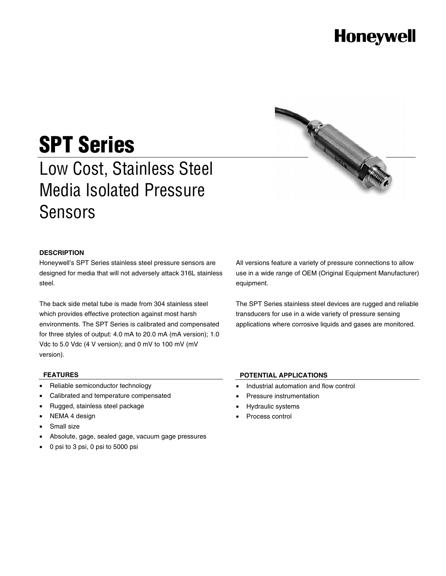## **Honeywell**

# **SPT Series**

Low Cost, Stainless Steel Media Isolated Pressure Sensors



### **DESCRIPTION**

Honeywell's SPT Series stainless steel pressure sensors are designed for media that will not adversely attack 316L stainless steel.

The back side metal tube is made from 304 stainless steel which provides effective protection against most harsh environments. The SPT Series is calibrated and compensated for three styles of output: 4.0 mA to 20.0 mA (mA version); 1.0 Vdc to 5.0 Vdc (4 V version); and 0 mV to 100 mV (mV version).

All versions feature a variety of pressure connections to allow use in a wide range of OEM (Original Equipment Manufacturer) equipment.

The SPT Series stainless steel devices are rugged and reliable transducers for use in a wide variety of pressure sensing applications where corrosive liquids and gases are monitored.

#### **FEATURES**

- Reliable semiconductor technology
- Calibrated and temperature compensated
- Rugged, stainless steel package
- NEMA 4 design
- Small size
- Absolute, gage, sealed gage, vacuum gage pressures
- 0 psi to 3 psi, 0 psi to 5000 psi

### **POTENTIAL APPLICATIONS**

- Industrial automation and flow control
- Pressure instrumentation
- Hydraulic systems
- Process control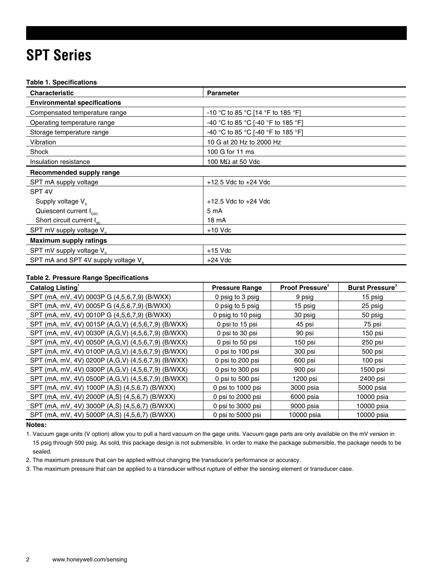### **SPT Series**

#### **Table 1. Specifications**

| <b>Characteristic</b>                           | <b>Parameter</b>                   |
|-------------------------------------------------|------------------------------------|
| <b>Environmental specifications</b>             |                                    |
| Compensated temperature range                   | -10 °C to 85 °C [14 °F to 185 °F]  |
| Operating temperature range                     | -40 °C to 85 °C [-40 °F to 185 °F] |
| Storage temperature range                       | -40 °C to 85 °C [-40 °F to 185 °F] |
| Vibration                                       | 10 G at 20 Hz to 2000 Hz           |
| Shock                                           | 100 G for 11 ms                    |
| Insulation resistance                           | 100 $\text{M}\Omega$ at 50 Vdc     |
| Recommended supply range                        |                                    |
| SPT mA supply voltage                           | $+12.5$ Vdc to $+24$ Vdc           |
| SPT <sub>4V</sub>                               |                                    |
| Supply voltage $V_s$                            | $+12.5$ Vdc to $+24$ Vdc           |
| Quiescent current I <sub>osc</sub>              | 5 mA                               |
| Short circuit current $I_{\rm sc}$              | 18 mA                              |
| SPT mV supply voltage V <sub>s</sub>            | $+10$ Vdc                          |
| <b>Maximum supply ratings</b>                   |                                    |
| SPT mV supply voltage V <sub>s</sub>            | $+15$ Vdc                          |
| SPT mA and SPT 4V supply voltage V <sub>s</sub> | $+24$ Vdc                          |

### **Table 2. Pressure Range Specifications**

| Catalog Listing                                    | <b>Pressure Range</b> | <b>Proof Pressure</b> <sup>2</sup> | <b>Burst Pressure</b> <sup>3</sup> |
|----------------------------------------------------|-----------------------|------------------------------------|------------------------------------|
| SPT (mA, mV, 4V) 0003P G (4,5,6,7,9) (B/WXX)       | 0 psig to 3 psig      | 9 psig                             | 15 psig                            |
| SPT (mA, mV, 4V) 0005P G (4,5,6,7,9) (B/WXX)       | 0 psig to 5 psig      | 15 psig                            | 25 psig                            |
| SPT (mA, mV, 4V) 0010P G (4,5,6,7,9) (B/WXX)       | 0 psig to 10 psig     | 30 psig                            | 50 psig                            |
| SPT (mA, mV, 4V) 0015P (A,G,V) (4,5,6,7,9) (B/WXX) | 0 psi to 15 psi       | 45 psi                             | 75 psi                             |
| SPT (mA, mV, 4V) 0030P (A,G,V) (4,5,6,7,9) (B/WXX) | 0 psi to 30 psi       | 90 psi                             | 150 psi                            |
| SPT (mA, mV, 4V) 0050P (A,G,V) (4,5,6,7,9) (B/WXX) | 0 psi to 50 psi       | 150 psi                            | 250 psi                            |
| SPT (mA, mV, 4V) 0100P (A,G,V) (4,5,6,7,9) (B/WXX) | 0 psi to 100 psi      | 300 psi                            | 500 psi                            |
| SPT (mA, mV, 4V) 0200P (A,G,V) (4,5,6,7,9) (B/WXX) | 0 psi to 200 psi      | 600 psi                            | 100 psi                            |
| SPT (mA, mV, 4V) 0300P (A,G,V) (4,5,6,7,9) (B/WXX) | 0 psi to 300 psi      | 900 psi                            | 1500 psi                           |
| SPT (mA, mV, 4V) 0500P (A,G,V) (4,5,6,7,9) (B/WXX) | 0 psi to 500 psi      | 1200 psi                           | 2400 psi                           |
| SPT (mA, mV, 4V) 1000P (A,S) (4,5,6,7) (B/WXX)     | 0 psi to 1000 psi     | 3000 psia                          | 5000 psia                          |
| SPT (mA, mV, 4V) 2000P (A,S) (4,5,6,7) (B/WXX)     | 0 psi to 2000 psi     | 6000 psia                          | 10000 psia                         |
| SPT (mA, mV, 4V) 3000P (A,S) (4,5,6,7) (B/WXX)     | 0 psi to 3000 psi     | 9000 psia                          | 10000 psia                         |
| SPT (mA, mV, 4V) 5000P (A,S) (4,5,6,7) (B/WXX)     | 0 psi to 5000 psi     | 10000 psia                         | 10000 psia                         |

### **Notes:**

1. Vacuum gage units (V option) allow you to pull a hard vacuum on the gage units. Vacuum gage parts are only available on the mV version in 15 psig through 500 psig. As sold, this package design is not submersible. In order to make the package submersible, the package needs to be sealed.

2. The maximum pressure that can be applied without changing the transducer's performance or accuracy.

3. The maximum pressure that can be applied to a transducer without rupture of either the sensing element or transducer case.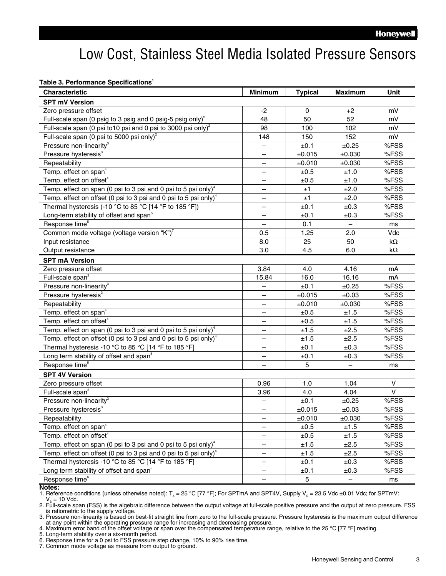### Low Cost, Stainless Steel Media Isolated Pressure Sensors

**Table 3. Performance Specifications<sup>1</sup>**

| <b>Characteristic</b>                                                        | <b>Minimum</b>           | <b>Typical</b> | <b>Maximum</b>           | Unit      |
|------------------------------------------------------------------------------|--------------------------|----------------|--------------------------|-----------|
| <b>SPT mV Version</b>                                                        |                          |                |                          |           |
| Zero pressure offset                                                         | $-2$                     | 0              | $+2$                     | mV        |
| Full-scale span (0 psig to 3 psig and 0 psig-5 psig only) <sup>2</sup>       | 48                       | 50             | 52                       | mV        |
| Full-scale span (0 psi to 10 psi and 0 psi to 3000 psi only) <sup>2</sup>    | 98                       | 100            | 102                      | mV        |
| Full-scale span (0 psi to 5000 psi only) <sup>2</sup>                        | 148                      | 150            | 152                      | mV        |
| Pressure non-linearity <sup>3</sup>                                          |                          | ±0.1           | ±0.25                    | %FSS      |
| Pressure hysteresis <sup>3</sup>                                             |                          | ±0.015         | ±0.030                   | %FSS      |
| Repeatability                                                                |                          | ±0.010         | ±0.030                   | %FSS      |
| Temp. effect on span <sup>4</sup>                                            |                          | ±0.5           | ±1.0                     | %FSS      |
| Temp. effect on offset <sup>4</sup>                                          |                          | ±0.5           | ±1.0                     | %FSS      |
| Temp. effect on span (0 psi to 3 psi and 0 psi to 5 psi only) $4$            |                          | ±1             | ±2.0                     | %FSS      |
| Temp. effect on offset (0 psi to 3 psi and 0 psi to 5 psi only) <sup>4</sup> | $\overline{\phantom{0}}$ | ±1             | ±2.0                     | %FSS      |
| Thermal hysteresis (-10 °C to 85 °C [14 °F to 185 °F])                       |                          | ±0.1           | ±0.3                     | %FSS      |
| Long-term stability of offset and span <sup>5</sup>                          |                          | ±0.1           | ±0.3                     | %FSS      |
| Response time <sup>6</sup>                                                   |                          | 0.1            |                          | ms        |
| Common mode voltage (voltage version "K") <sup>7</sup>                       | 0.5                      | 1.25           | 2.0                      | Vdc       |
| Input resistance                                                             | 8.0                      | 25             | 50                       | $k\Omega$ |
| Output resistance                                                            | 3.0                      | 4.5            | 6.0                      | $k\Omega$ |
| <b>SPT mA Version</b>                                                        |                          |                |                          |           |
| Zero pressure offset                                                         | 3.84                     | 4.0            | 4.16                     | mA        |
| Full-scale span <sup>2</sup>                                                 | 15.84                    | 16.0           | 16.16                    | mA        |
| Pressure non-linearity <sup>3</sup>                                          |                          | ±0.1           | ±0.25                    | %FSS      |
| Pressure hysteresis <sup>3</sup>                                             |                          | ±0.015         | ±0.03                    | %FSS      |
| Repeatability                                                                |                          | ±0.010         | ±0.030                   | %FSS      |
| Temp. effect on span <sup>4</sup>                                            | $\overline{\phantom{0}}$ | $\pm 0.5$      | ±1.5                     | %FSS      |
| Temp. effect on offset <sup>4</sup>                                          | $\overline{\phantom{0}}$ | ±0.5           | ±1.5                     | %FSS      |
| Temp. effect on span (0 psi to 3 psi and 0 psi to 5 psi only) <sup>4</sup>   | $\overline{\phantom{0}}$ | ±1.5           | ±2.5                     | %FSS      |
| Temp. effect on offset (0 psi to 3 psi and 0 psi to 5 psi only) $4$          | $\overline{\phantom{0}}$ | ±1.5           | ±2.5                     | %FSS      |
| Thermal hysteresis -10 °C to 85 °C [14 °F to 185 °F]                         | $\overline{\phantom{0}}$ | ±0.1           | ±0.3                     | %FSS      |
| Long term stability of offset and span <sup>5</sup>                          | $\overline{\phantom{0}}$ | ±0.1           | ±0.3                     | %FSS      |
| Response time <sup>6</sup>                                                   |                          | 5              |                          | ms        |
| <b>SPT 4V Version</b>                                                        |                          |                |                          |           |
| Zero pressure offset                                                         | 0.96                     | 1.0            | 1.04                     | $\vee$    |
| Full-scale span <sup>2</sup>                                                 | 3.96                     | 4.0            | 4.04                     | $\vee$    |
| Pressure non-linearity <sup>3</sup>                                          |                          | ±0.1           | ±0.25                    | %FSS      |
| Pressure hysteresis <sup>3</sup>                                             |                          | ±0.015         | ±0.03                    | %FSS      |
| Repeatability                                                                | —                        | ±0.010         | ±0.030                   | %FSS      |
| Temp. effect on span <sup>4</sup>                                            |                          | ±0.5           | ±1.5                     | %FSS      |
| Temp. effect on offset <sup>4</sup>                                          |                          | ±0.5           | ±1.5                     | %FSS      |
| Temp. effect on span (0 psi to 3 psi and 0 psi to 5 psi only) $4$            | —                        | ±1.5           | ±2.5                     | %FSS      |
| Temp. effect on offset (0 psi to 3 psi and 0 psi to 5 psi only) $4$          | —                        | ±1.5           | ±2.5                     | %FSS      |
| Thermal hysteresis -10 °C to 85 °C [14 °F to 185 °F]                         | —                        | ±0.1           | ±0.3                     | %FSS      |
| Long term stability of offset and span <sup>5</sup>                          | —                        | ±0.1           | ±0.3                     | %FSS      |
| Response time <sup>6</sup>                                                   | -                        | 5              | $\overline{\phantom{a}}$ | ms        |

#### **Notes:**

1. Reference conditions (unless otherwise noted):  $T_A = 25 °C$  [77 °F]; For SPTmA and SPT4V, Supply V<sub>s</sub> = 23.5 Vdc ±0.01 Vdc; for SPTmV:  $V<sub>s</sub> = 10$  Vdc.

2. Full-scale span (FSS) is the algebraic difference between the output voltage at full-scale positive pressure and the output at zero pressure. FSS is ratiometric to the supply voltage.<br>3. Pressure non-linearity is based on best-fit straight line from zero to the full-scale pressure. Pressure hysteresis is the maximum output difference

at any point within the operating pressure range for increasing and decreasing pressure.

4. Maximum error band of the offset voltage or span over the compensated temperature range, relative to the 25 °C [77 °F] reading. 5. Long-term stability over a six-month period.

6. Response time for a 0 psi to FSS pressure step change, 10% to 90% rise time.

7. Common mode voltage as measure from output to ground.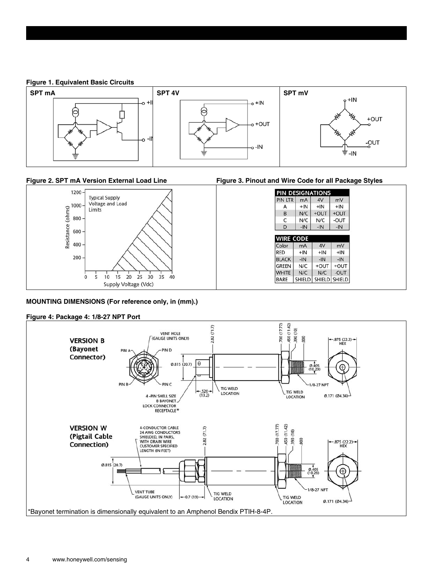**Figure 1. Equivalent Basic Circuits**





### **MOUNTING DIMENSIONS (For reference only, in (mm).)**

### **Figure 4: Package 4: 1/8-27 NPT Port**

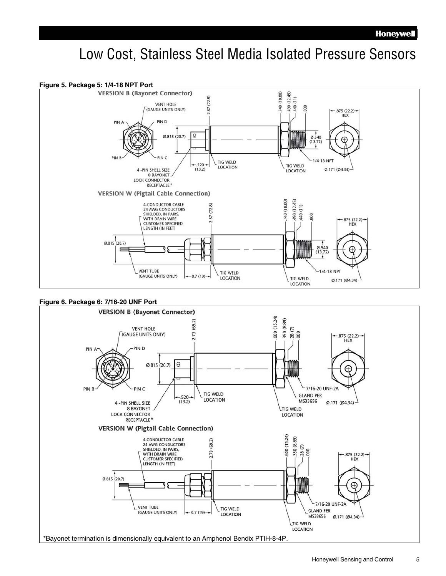### Low Cost, Stainless Steel Media Isolated Pressure Sensors



\*Bayonet termination is dimensionally equivalent to an Amphenol Bendix PTIH-8-4P.

LTIG WELD **LOCATION**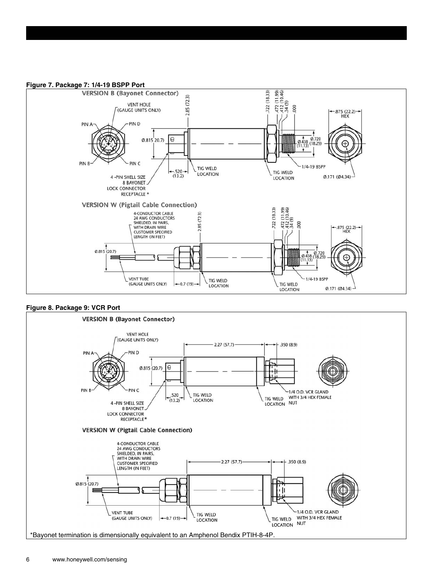#### **Figure 7. Package 7: 1/4-19 BSPP Port**



### **Figure 8. Package 9: VCR Port**

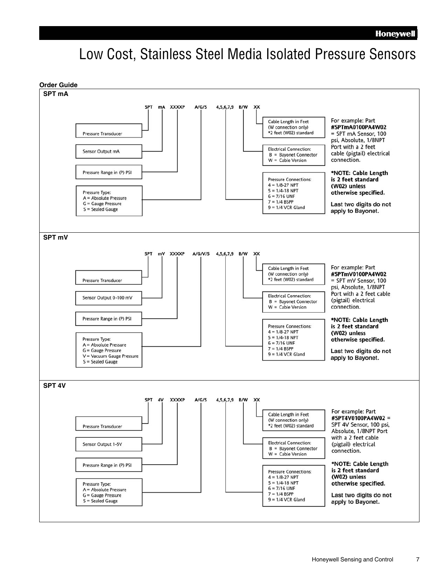### Low Cost, Stainless Steel Media Isolated Pressure Sensors